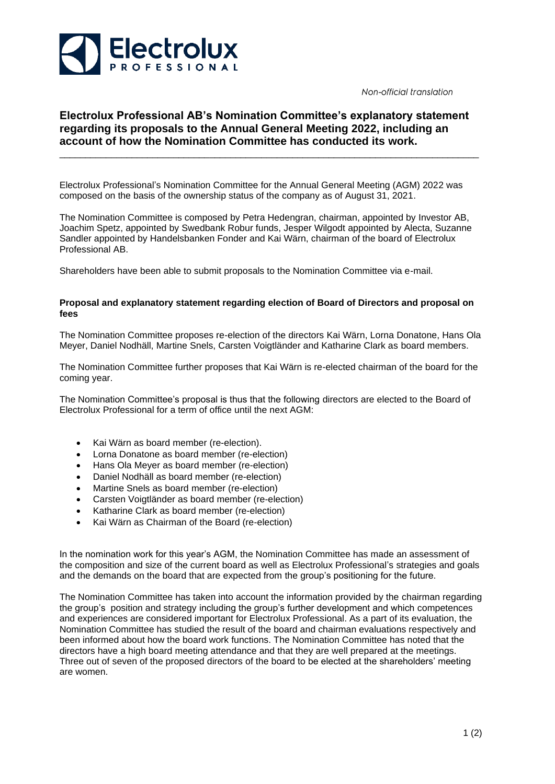

Non-official translation

## **Electrolux Professional AB's Nomination Committee's explanatory statement regarding its proposals to the Annual General Meeting 2022, including an account of how the Nomination Committee has conducted its work.**

\_\_\_\_\_\_\_\_\_\_\_\_\_\_\_\_\_\_\_\_\_\_\_\_\_\_\_\_\_\_\_\_\_\_\_\_\_\_\_\_\_\_\_\_\_\_\_\_\_\_\_\_\_\_\_\_\_\_\_\_\_\_\_\_\_\_\_\_\_\_\_\_\_\_\_\_\_\_\_\_\_

Electrolux Professional's Nomination Committee for the Annual General Meeting (AGM) 2022 was composed on the basis of the ownership status of the company as of August 31, 2021.

The Nomination Committee is composed by Petra Hedengran, chairman, appointed by Investor AB, Joachim Spetz, appointed by Swedbank Robur funds, Jesper Wilgodt appointed by Alecta, Suzanne Sandler appointed by Handelsbanken Fonder and Kai Wärn, chairman of the board of Electrolux Professional AB.

Shareholders have been able to submit proposals to the Nomination Committee via e-mail.

## **Proposal and explanatory statement regarding election of Board of Directors and proposal on fees**

The Nomination Committee proposes re-election of the directors Kai Wärn, Lorna Donatone, Hans Ola Meyer, Daniel Nodhäll, Martine Snels, Carsten Voigtländer and Katharine Clark as board members.

The Nomination Committee further proposes that Kai Wärn is re-elected chairman of the board for the coming year.

The Nomination Committee's proposal is thus that the following directors are elected to the Board of Electrolux Professional for a term of office until the next AGM:

- Kai Wärn as board member (re-election).
- Lorna Donatone as board member (re-election)
- Hans Ola Meyer as board member (re-election)
- Daniel Nodhäll as board member (re-election)
- Martine Snels as board member (re-election)
- Carsten Voigtländer as board member (re-election)
- Katharine Clark as board member (re-election)
- Kai Wärn as Chairman of the Board (re-election)

In the nomination work for this year's AGM, the Nomination Committee has made an assessment of the composition and size of the current board as well as Electrolux Professional's strategies and goals and the demands on the board that are expected from the group's positioning for the future.

The Nomination Committee has taken into account the information provided by the chairman regarding the group's position and strategy including the group's further development and which competences and experiences are considered important for Electrolux Professional. As a part of its evaluation, the Nomination Committee has studied the result of the board and chairman evaluations respectively and been informed about how the board work functions. The Nomination Committee has noted that the directors have a high board meeting attendance and that they are well prepared at the meetings. Three out of seven of the proposed directors of the board to be elected at the shareholders' meeting are women.